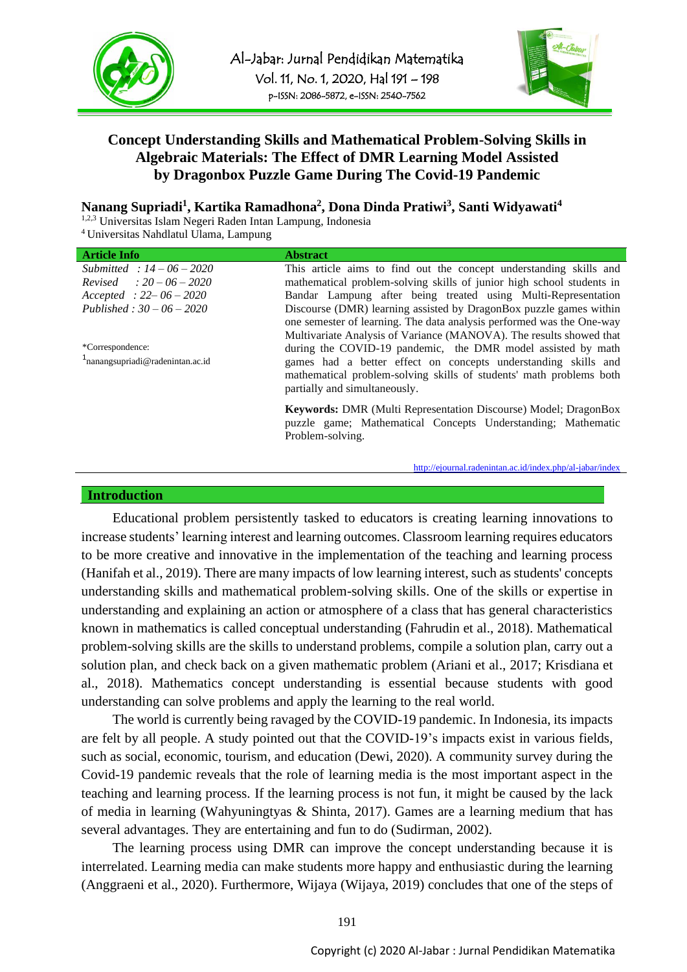



## **Concept Understanding Skills and Mathematical Problem-Solving Skills in Algebraic Materials: The Effect of DMR Learning Model Assisted by Dragonbox Puzzle Game During The Covid-19 Pandemic**

### **Nanang Supriadi<sup>1</sup> , Kartika Ramadhona<sup>2</sup> , Dona Dinda Pratiwi<sup>3</sup> , Santi Widyawati<sup>4</sup>**

1,2,3 Universitas Islam Negeri Raden Intan Lampung, Indonesia

<sup>4</sup>Universitas Nahdlatul Ulama, Lampung

| <b>Article Info</b>             | <b>Abstract</b>                                                       |
|---------------------------------|-----------------------------------------------------------------------|
| Submitted : $14 - 06 - 2020$    | This article aims to find out the concept understanding skills and    |
| Revised: $20 - 06 - 2020$       | mathematical problem-solving skills of junior high school students in |
| $Accepted : 22 - 06 - 2020$     | Bandar Lampung after being treated using Multi-Representation         |
| Published: $30 - 06 - 2020$     | Discourse (DMR) learning assisted by DragonBox puzzle games within    |
|                                 | one semester of learning. The data analysis performed was the One-way |
|                                 | Multivariate Analysis of Variance (MANOVA). The results showed that   |
| *Correspondence:                | during the COVID-19 pandemic, the DMR model assisted by math          |
| nanangsupriadi@radenintan.ac.id | games had a better effect on concepts understanding skills and        |
|                                 | mathematical problem-solving skills of students' math problems both   |
|                                 | partially and simultaneously.                                         |
|                                 | Keywords: DMR (Multi Representation Discourse) Model; DragonBox       |
|                                 | puzzle game; Mathematical Concepts Understanding; Mathematic          |
|                                 | Problem-solving.                                                      |
|                                 |                                                                       |

<http://ejournal.radenintan.ac.id/index.php/al-jabar/index>

#### **Introduction**

Educational problem persistently tasked to educators is creating learning innovations to increase students' learning interest and learning outcomes. Classroom learning requires educators to be more creative and innovative in the implementation of the teaching and learning process (Hanifah et al., 2019). There are many impacts of low learning interest, such as students' concepts understanding skills and mathematical problem-solving skills. One of the skills or expertise in understanding and explaining an action or atmosphere of a class that has general characteristics known in mathematics is called conceptual understanding (Fahrudin et al., 2018). Mathematical problem-solving skills are the skills to understand problems, compile a solution plan, carry out a solution plan, and check back on a given mathematic problem (Ariani et al., 2017; Krisdiana et al., 2018). Mathematics concept understanding is essential because students with good understanding can solve problems and apply the learning to the real world.

The world is currently being ravaged by the COVID-19 pandemic. In Indonesia, its impacts are felt by all people. A study pointed out that the COVID-19's impacts exist in various fields, such as social, economic, tourism, and education (Dewi, 2020). A community survey during the Covid-19 pandemic reveals that the role of learning media is the most important aspect in the teaching and learning process. If the learning process is not fun, it might be caused by the lack of media in learning (Wahyuningtyas & Shinta, 2017). Games are a learning medium that has several advantages. They are entertaining and fun to do (Sudirman, 2002).

The learning process using DMR can improve the concept understanding because it is interrelated. Learning media can make students more happy and enthusiastic during the learning (Anggraeni et al., 2020). Furthermore, Wijaya (Wijaya, 2019) concludes that one of the steps of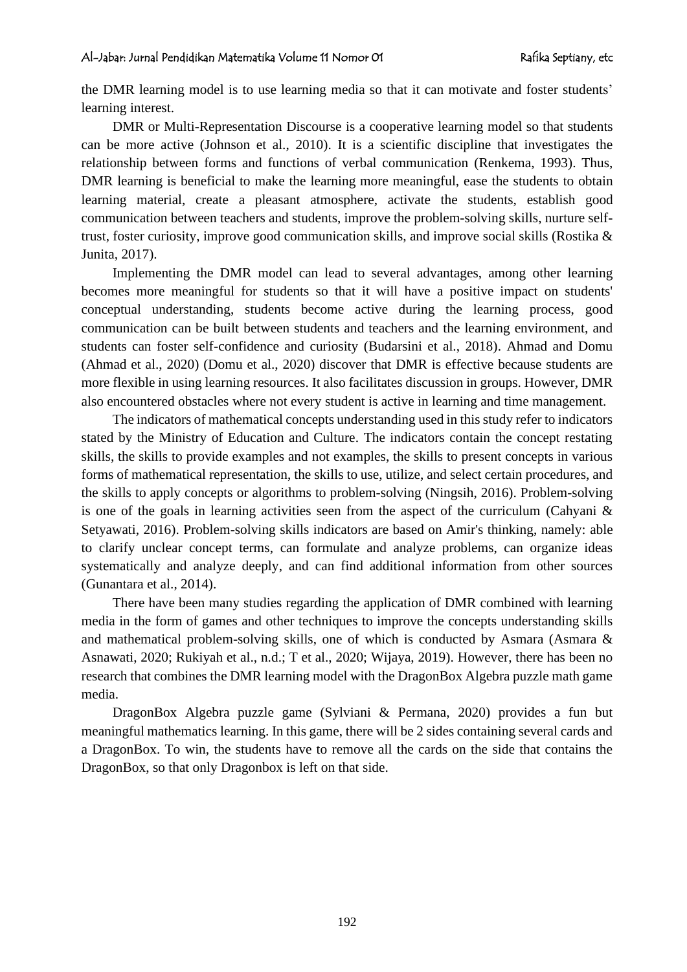the DMR learning model is to use learning media so that it can motivate and foster students' learning interest.

DMR or Multi-Representation Discourse is a cooperative learning model so that students can be more active (Johnson et al., 2010). It is a scientific discipline that investigates the relationship between forms and functions of verbal communication (Renkema, 1993). Thus, DMR learning is beneficial to make the learning more meaningful, ease the students to obtain learning material, create a pleasant atmosphere, activate the students, establish good communication between teachers and students, improve the problem-solving skills, nurture selftrust, foster curiosity, improve good communication skills, and improve social skills (Rostika & Junita, 2017).

Implementing the DMR model can lead to several advantages, among other learning becomes more meaningful for students so that it will have a positive impact on students' conceptual understanding, students become active during the learning process, good communication can be built between students and teachers and the learning environment, and students can foster self-confidence and curiosity (Budarsini et al., 2018). Ahmad and Domu (Ahmad et al., 2020) (Domu et al., 2020) discover that DMR is effective because students are more flexible in using learning resources. It also facilitates discussion in groups. However, DMR also encountered obstacles where not every student is active in learning and time management.

The indicators of mathematical concepts understanding used in this study refer to indicators stated by the Ministry of Education and Culture. The indicators contain the concept restating skills, the skills to provide examples and not examples, the skills to present concepts in various forms of mathematical representation, the skills to use, utilize, and select certain procedures, and the skills to apply concepts or algorithms to problem-solving (Ningsih, 2016). Problem-solving is one of the goals in learning activities seen from the aspect of the curriculum (Cahyani & Setyawati, 2016). Problem-solving skills indicators are based on Amir's thinking, namely: able to clarify unclear concept terms, can formulate and analyze problems, can organize ideas systematically and analyze deeply, and can find additional information from other sources (Gunantara et al., 2014).

There have been many studies regarding the application of DMR combined with learning media in the form of games and other techniques to improve the concepts understanding skills and mathematical problem-solving skills, one of which is conducted by Asmara (Asmara & Asnawati, 2020; Rukiyah et al., n.d.; T et al., 2020; Wijaya, 2019). However, there has been no research that combines the DMR learning model with the DragonBox Algebra puzzle math game media.

DragonBox Algebra puzzle game (Sylviani & Permana, 2020) provides a fun but meaningful mathematics learning. In this game, there will be 2 sides containing several cards and a DragonBox. To win, the students have to remove all the cards on the side that contains the DragonBox, so that only Dragonbox is left on that side.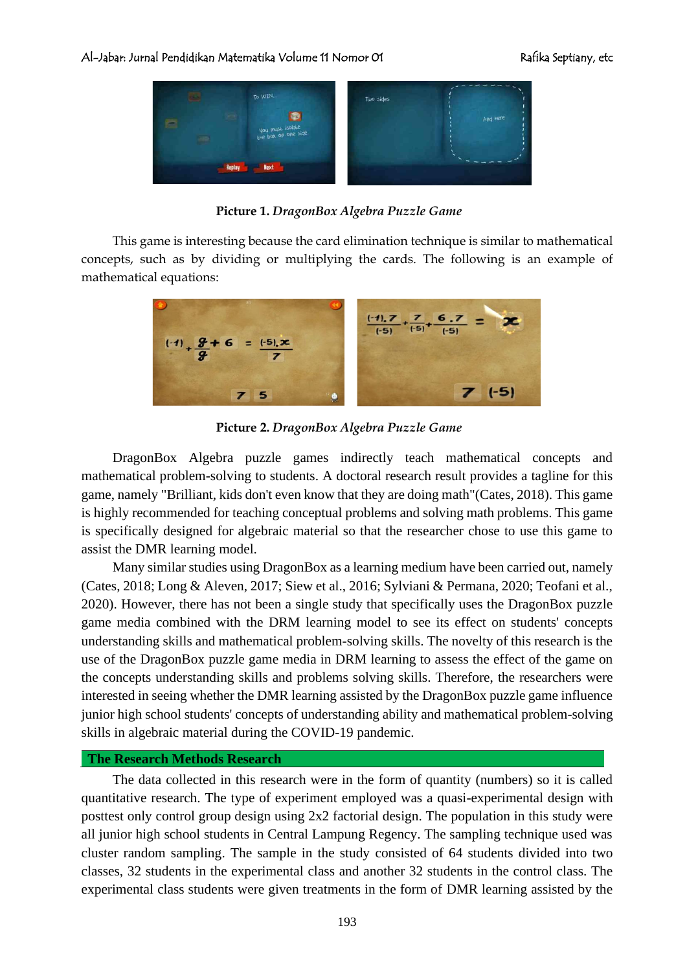### Al-Jabar: Jurnal Pendidikan Matematika Volume 11 Nomor 01 Rafika Septiany, etc



**Picture 1.** *DragonBox Algebra Puzzle Game*

This game is interesting because the card elimination technique is similar to mathematical concepts, such as by dividing or multiplying the cards. The following is an example of mathematical equations:



**Picture 2.** *DragonBox Algebra Puzzle Game* 

DragonBox Algebra puzzle games indirectly teach mathematical concepts and mathematical problem-solving to students. A doctoral research result provides a tagline for this game, namely "Brilliant, kids don't even know that they are doing math"(Cates, 2018). This game is highly recommended for teaching conceptual problems and solving math problems. This game is specifically designed for algebraic material so that the researcher chose to use this game to assist the DMR learning model.

Many similar studies using DragonBox as a learning medium have been carried out, namely (Cates, 2018; Long & Aleven, 2017; Siew et al., 2016; Sylviani & Permana, 2020; Teofani et al., 2020). However, there has not been a single study that specifically uses the DragonBox puzzle game media combined with the DRM learning model to see its effect on students' concepts understanding skills and mathematical problem-solving skills. The novelty of this research is the use of the DragonBox puzzle game media in DRM learning to assess the effect of the game on the concepts understanding skills and problems solving skills. Therefore, the researchers were interested in seeing whether the DMR learning assisted by the DragonBox puzzle game influence junior high school students' concepts of understanding ability and mathematical problem-solving skills in algebraic material during the COVID-19 pandemic.

### **The Research Methods Research**

The data collected in this research were in the form of quantity (numbers) so it is called quantitative research. The type of experiment employed was a quasi-experimental design with posttest only control group design using 2x2 factorial design. The population in this study were all junior high school students in Central Lampung Regency. The sampling technique used was cluster random sampling. The sample in the study consisted of 64 students divided into two classes, 32 students in the experimental class and another 32 students in the control class. The experimental class students were given treatments in the form of DMR learning assisted by the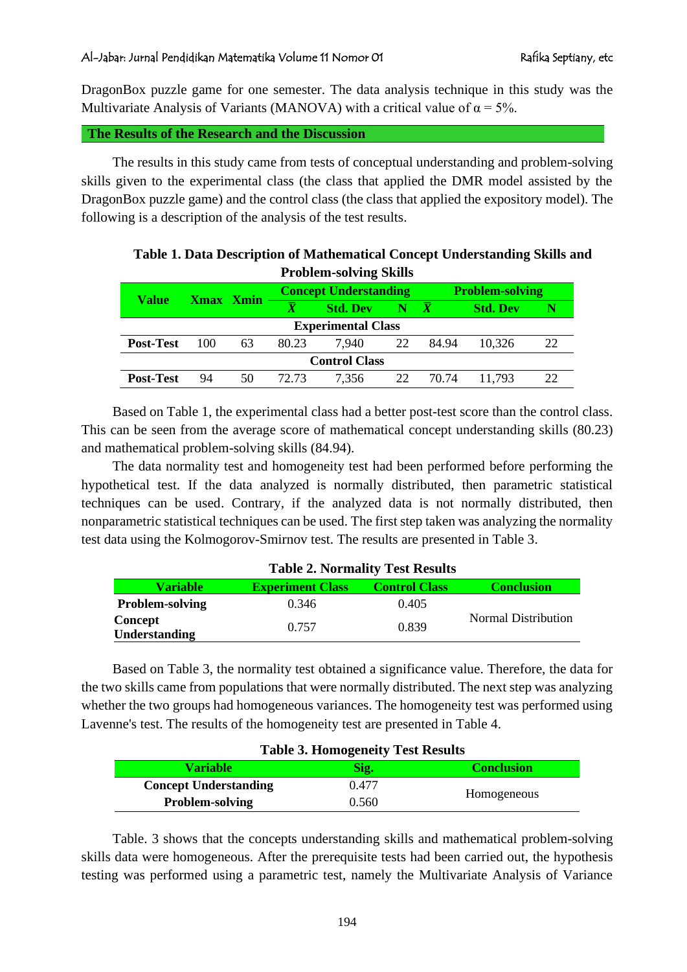DragonBox puzzle game for one semester. The data analysis technique in this study was the Multivariate Analysis of Variants (MANOVA) with a critical value of  $\alpha = 5\%$ .

**The Results of the Research and the Discussion**

The results in this study came from tests of conceptual understanding and problem-solving skills given to the experimental class (the class that applied the DMR model assisted by the DragonBox puzzle game) and the control class (the class that applied the expository model). The following is a description of the analysis of the test results.

| <b>Problem-solving Skills</b> |     |    |                              |                 |    |                        |                 |    |
|-------------------------------|-----|----|------------------------------|-----------------|----|------------------------|-----------------|----|
| Value                         |     |    | <b>Concept Understanding</b> |                 |    | <b>Problem-solving</b> |                 |    |
| Xmax Xmin                     |     |    | $\overline{\mathbf{Y}}$      | <b>Std. Dev</b> | N  | - X                    | <b>Std. Dev</b> | N  |
| <b>Experimental Class</b>     |     |    |                              |                 |    |                        |                 |    |
| <b>Post-Test</b>              | 100 | 63 | 80.23                        | 7.940           | 22 | 84.94                  | 10,326          | 22 |
| <b>Control Class</b>          |     |    |                              |                 |    |                        |                 |    |
| <b>Post-Test</b>              | 94  | 50 | 72.73                        | 7.356           | 22 | 70.74                  | 11.793          | 22 |

| Table 1. Data Description of Mathematical Concept Understanding Skills and |  |
|----------------------------------------------------------------------------|--|
| <b>Problem-solving Skills</b>                                              |  |

Based on Table 1, the experimental class had a better post-test score than the control class. This can be seen from the average score of mathematical concept understanding skills (80.23) and mathematical problem-solving skills (84.94).

The data normality test and homogeneity test had been performed before performing the hypothetical test. If the data analyzed is normally distributed, then parametric statistical techniques can be used. Contrary, if the analyzed data is not normally distributed, then nonparametric statistical techniques can be used. The first step taken was analyzing the normality test data using the Kolmogorov-Smirnov test. The results are presented in Table 3.

| <b>Table 2. Normality Test Results</b> |                         |                      |                     |  |
|----------------------------------------|-------------------------|----------------------|---------------------|--|
| <b>Variable</b>                        | <b>Experiment Class</b> | <b>Control Class</b> | <b>Conclusion</b>   |  |
| <b>Problem-solving</b>                 | 0.346                   | 0.405                |                     |  |
| Concept<br>Understanding               | 0.757                   | 0.839                | Normal Distribution |  |

# **Table 2. Normality Test Results**

Based on Table 3, the normality test obtained a significance value. Therefore, the data for the two skills came from populations that were normally distributed. The next step was analyzing whether the two groups had homogeneous variances. The homogeneity test was performed using Lavenne's test. The results of the homogeneity test are presented in Table 4.

| Table 3. Homogeneity Test Results |       |                   |  |  |
|-----------------------------------|-------|-------------------|--|--|
| <b>Variable</b>                   | Sig.  | <b>Conclusion</b> |  |  |
| <b>Concept Understanding</b>      | 0.477 |                   |  |  |
| <b>Problem-solving</b>            | 0.560 | Homogeneous       |  |  |

## **Table 3. Homogeneity Test Results**

Table. 3 shows that the concepts understanding skills and mathematical problem-solving skills data were homogeneous. After the prerequisite tests had been carried out, the hypothesis testing was performed using a parametric test, namely the Multivariate Analysis of Variance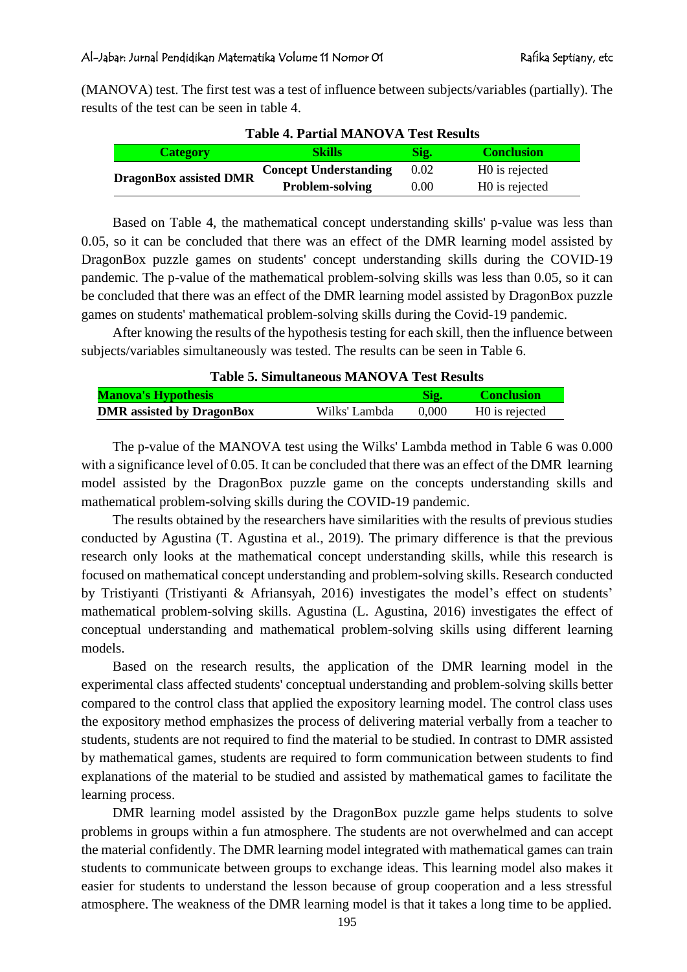(MANOVA) test. The first test was a test of influence between subjects/variables (partially). The results of the test can be seen in table 4.

| Table 7. I al tial MARTO VA TEST RESULTS |                              |      |                            |
|------------------------------------------|------------------------------|------|----------------------------|
| <b>Category</b>                          | <b>Skills</b>                | Sig. | <b>Conclusion</b>          |
| <b>DragonBox assisted DMR</b>            | <b>Concept Understanding</b> | 0.02 | H <sub>0</sub> is rejected |
|                                          | <b>Problem-solving</b>       | 0.00 | H <sub>0</sub> is rejected |

**Table 4. Partial MANOVA Test Results**

Based on Table 4, the mathematical concept understanding skills' p-value was less than 0.05, so it can be concluded that there was an effect of the DMR learning model assisted by DragonBox puzzle games on students' concept understanding skills during the COVID-19 pandemic. The p-value of the mathematical problem-solving skills was less than 0.05, so it can be concluded that there was an effect of the DMR learning model assisted by DragonBox puzzle games on students' mathematical problem-solving skills during the Covid-19 pandemic.

After knowing the results of the hypothesis testing for each skill, then the influence between subjects/variables simultaneously was tested. The results can be seen in Table 6.

| Table 5. Simultaneous MANOVA Test Results |               |       |                            |  |
|-------------------------------------------|---------------|-------|----------------------------|--|
| <b>Manova's Hypothesis</b>                |               | Sig.  | <b>Conclusion</b>          |  |
| <b>DMR</b> assisted by DragonBox          | Wilks' Lambda | 0.000 | H <sub>0</sub> is rejected |  |

### **Table 5. Simultaneous MANOVA Test Results**

The p-value of the MANOVA test using the Wilks' Lambda method in Table 6 was 0.000 with a significance level of 0.05. It can be concluded that there was an effect of the DMR learning model assisted by the DragonBox puzzle game on the concepts understanding skills and mathematical problem-solving skills during the COVID-19 pandemic.

The results obtained by the researchers have similarities with the results of previous studies conducted by Agustina (T. Agustina et al., 2019). The primary difference is that the previous research only looks at the mathematical concept understanding skills, while this research is focused on mathematical concept understanding and problem-solving skills. Research conducted by Tristiyanti (Tristiyanti & Afriansyah, 2016) investigates the model's effect on students' mathematical problem-solving skills. Agustina (L. Agustina, 2016) investigates the effect of conceptual understanding and mathematical problem-solving skills using different learning models.

Based on the research results, the application of the DMR learning model in the experimental class affected students' conceptual understanding and problem-solving skills better compared to the control class that applied the expository learning model. The control class uses the expository method emphasizes the process of delivering material verbally from a teacher to students, students are not required to find the material to be studied. In contrast to DMR assisted by mathematical games, students are required to form communication between students to find explanations of the material to be studied and assisted by mathematical games to facilitate the learning process.

DMR learning model assisted by the DragonBox puzzle game helps students to solve problems in groups within a fun atmosphere. The students are not overwhelmed and can accept the material confidently. The DMR learning model integrated with mathematical games can train students to communicate between groups to exchange ideas. This learning model also makes it easier for students to understand the lesson because of group cooperation and a less stressful atmosphere. The weakness of the DMR learning model is that it takes a long time to be applied.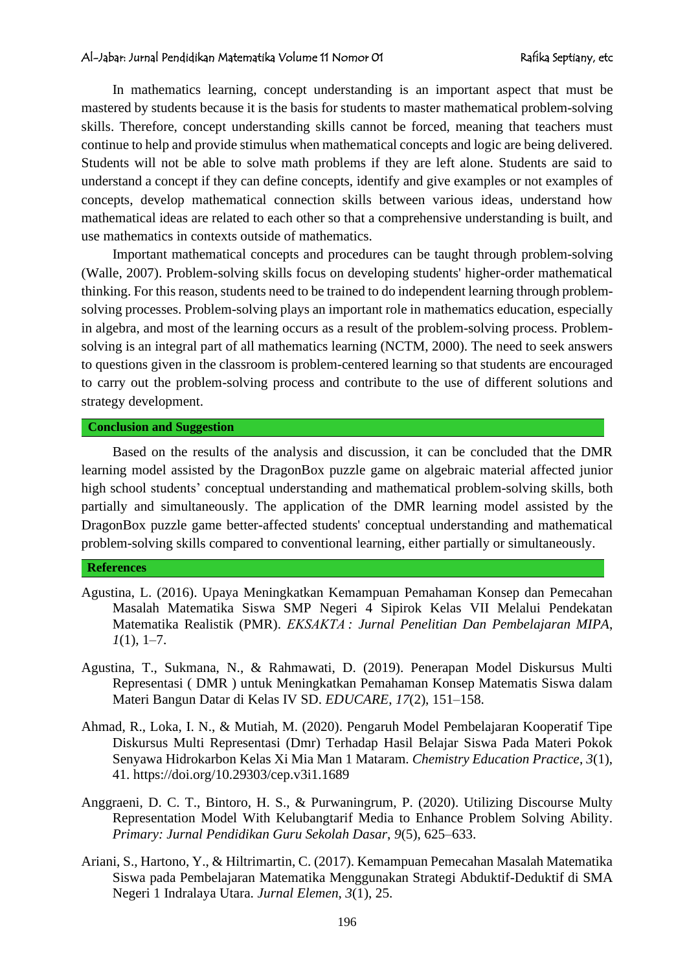In mathematics learning, concept understanding is an important aspect that must be mastered by students because it is the basis for students to master mathematical problem-solving skills. Therefore, concept understanding skills cannot be forced, meaning that teachers must continue to help and provide stimulus when mathematical concepts and logic are being delivered. Students will not be able to solve math problems if they are left alone. Students are said to understand a concept if they can define concepts, identify and give examples or not examples of concepts, develop mathematical connection skills between various ideas, understand how mathematical ideas are related to each other so that a comprehensive understanding is built, and use mathematics in contexts outside of mathematics.

Important mathematical concepts and procedures can be taught through problem-solving (Walle, 2007). Problem-solving skills focus on developing students' higher-order mathematical thinking. For this reason, students need to be trained to do independent learning through problemsolving processes. Problem-solving plays an important role in mathematics education, especially in algebra, and most of the learning occurs as a result of the problem-solving process. Problemsolving is an integral part of all mathematics learning (NCTM, 2000). The need to seek answers to questions given in the classroom is problem-centered learning so that students are encouraged to carry out the problem-solving process and contribute to the use of different solutions and strategy development.

### **Conclusion and Suggestion**

Based on the results of the analysis and discussion, it can be concluded that the DMR learning model assisted by the DragonBox puzzle game on algebraic material affected junior high school students' conceptual understanding and mathematical problem-solving skills, both partially and simultaneously. The application of the DMR learning model assisted by the DragonBox puzzle game better-affected students' conceptual understanding and mathematical problem-solving skills compared to conventional learning, either partially or simultaneously.

### **References**

- Agustina, L. (2016). Upaya Meningkatkan Kemampuan Pemahaman Konsep dan Pemecahan Masalah Matematika Siswa SMP Negeri 4 Sipirok Kelas VII Melalui Pendekatan Matematika Realistik (PMR). *EKSAKTA : Jurnal Penelitian Dan Pembelajaran MIPA*,  $1(1), 1-7.$
- Agustina, T., Sukmana, N., & Rahmawati, D. (2019). Penerapan Model Diskursus Multi Representasi ( DMR ) untuk Meningkatkan Pemahaman Konsep Matematis Siswa dalam Materi Bangun Datar di Kelas IV SD. *EDUCARE*, *17*(2), 151–158.
- Ahmad, R., Loka, I. N., & Mutiah, M. (2020). Pengaruh Model Pembelajaran Kooperatif Tipe Diskursus Multi Representasi (Dmr) Terhadap Hasil Belajar Siswa Pada Materi Pokok Senyawa Hidrokarbon Kelas Xi Mia Man 1 Mataram. *Chemistry Education Practice*, *3*(1), 41. https://doi.org/10.29303/cep.v3i1.1689
- Anggraeni, D. C. T., Bintoro, H. S., & Purwaningrum, P. (2020). Utilizing Discourse Multy Representation Model With Kelubangtarif Media to Enhance Problem Solving Ability. *Primary: Jurnal Pendidikan Guru Sekolah Dasar*, *9*(5), 625–633.
- Ariani, S., Hartono, Y., & Hiltrimartin, C. (2017). Kemampuan Pemecahan Masalah Matematika Siswa pada Pembelajaran Matematika Menggunakan Strategi Abduktif-Deduktif di SMA Negeri 1 Indralaya Utara. *Jurnal Elemen*, *3*(1), 25.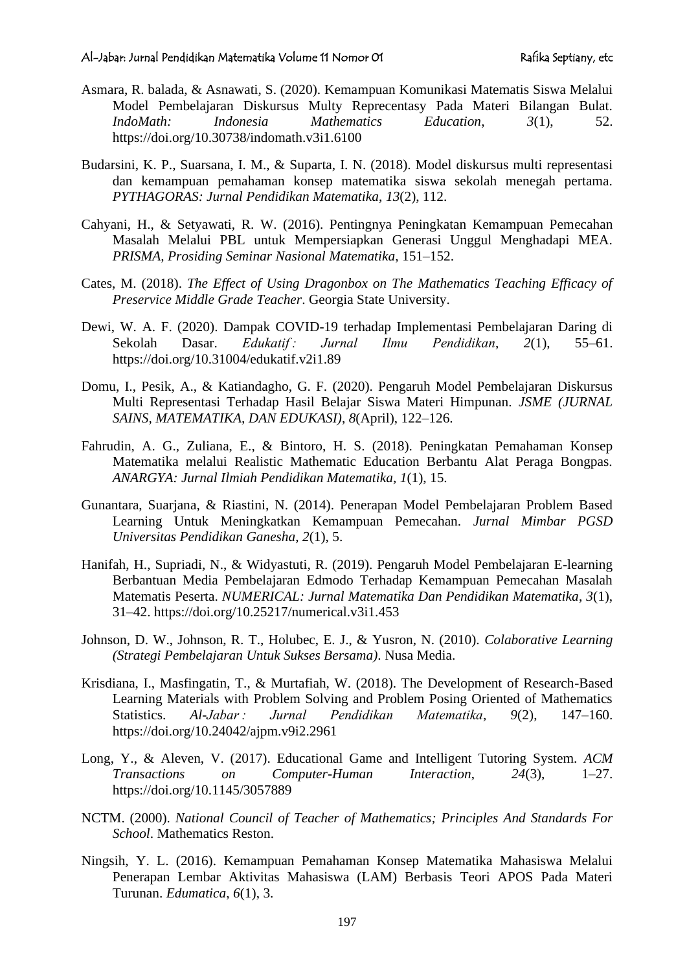### Al-Jabar: Jurnal Pendidikan Matematika Volume 11 Nomor 01 Rafika Septiany, etc

- Asmara, R. balada, & Asnawati, S. (2020). Kemampuan Komunikasi Matematis Siswa Melalui Model Pembelajaran Diskursus Multy Reprecentasy Pada Materi Bilangan Bulat. *IndoMath: Indonesia Mathematics Education*, *3*(1), 52. https://doi.org/10.30738/indomath.v3i1.6100
- Budarsini, K. P., Suarsana, I. M., & Suparta, I. N. (2018). Model diskursus multi representasi dan kemampuan pemahaman konsep matematika siswa sekolah menegah pertama. *PYTHAGORAS: Jurnal Pendidikan Matematika*, *13*(2), 112.
- Cahyani, H., & Setyawati, R. W. (2016). Pentingnya Peningkatan Kemampuan Pemecahan Masalah Melalui PBL untuk Mempersiapkan Generasi Unggul Menghadapi MEA. *PRISMA, Prosiding Seminar Nasional Matematika*, 151–152.
- Cates, M. (2018). *The Effect of Using Dragonbox on The Mathematics Teaching Efficacy of Preservice Middle Grade Teacher*. Georgia State University.
- Dewi, W. A. F. (2020). Dampak COVID-19 terhadap Implementasi Pembelajaran Daring di Sekolah Dasar. *Edukatif : Jurnal Ilmu Pendidikan*, *2*(1), 55–61. https://doi.org/10.31004/edukatif.v2i1.89
- Domu, I., Pesik, A., & Katiandagho, G. F. (2020). Pengaruh Model Pembelajaran Diskursus Multi Representasi Terhadap Hasil Belajar Siswa Materi Himpunan. *JSME (JURNAL SAINS, MATEMATIKA, DAN EDUKASI)*, *8*(April), 122–126.
- Fahrudin, A. G., Zuliana, E., & Bintoro, H. S. (2018). Peningkatan Pemahaman Konsep Matematika melalui Realistic Mathematic Education Berbantu Alat Peraga Bongpas. *ANARGYA: Jurnal Ilmiah Pendidikan Matematika*, *1*(1), 15.
- Gunantara, Suarjana, & Riastini, N. (2014). Penerapan Model Pembelajaran Problem Based Learning Untuk Meningkatkan Kemampuan Pemecahan. *Jurnal Mimbar PGSD Universitas Pendidikan Ganesha*, *2*(1), 5.
- Hanifah, H., Supriadi, N., & Widyastuti, R. (2019). Pengaruh Model Pembelajaran E-learning Berbantuan Media Pembelajaran Edmodo Terhadap Kemampuan Pemecahan Masalah Matematis Peserta. *NUMERICAL: Jurnal Matematika Dan Pendidikan Matematika*, *3*(1), 31–42. https://doi.org/10.25217/numerical.v3i1.453
- Johnson, D. W., Johnson, R. T., Holubec, E. J., & Yusron, N. (2010). *Colaborative Learning (Strategi Pembelajaran Untuk Sukses Bersama)*. Nusa Media.
- Krisdiana, I., Masfingatin, T., & Murtafiah, W. (2018). The Development of Research-Based Learning Materials with Problem Solving and Problem Posing Oriented of Mathematics Statistics. *Al-Jabar : Jurnal Pendidikan Matematika*, *9*(2), 147–160. https://doi.org/10.24042/ajpm.v9i2.2961
- Long, Y., & Aleven, V. (2017). Educational Game and Intelligent Tutoring System. *ACM Transactions on Computer-Human Interaction*, *24*(3), 1–27. https://doi.org/10.1145/3057889
- NCTM. (2000). *National Council of Teacher of Mathematics; Principles And Standards For School*. Mathematics Reston.
- Ningsih, Y. L. (2016). Kemampuan Pemahaman Konsep Matematika Mahasiswa Melalui Penerapan Lembar Aktivitas Mahasiswa (LAM) Berbasis Teori APOS Pada Materi Turunan. *Edumatica*, *6*(1), 3.